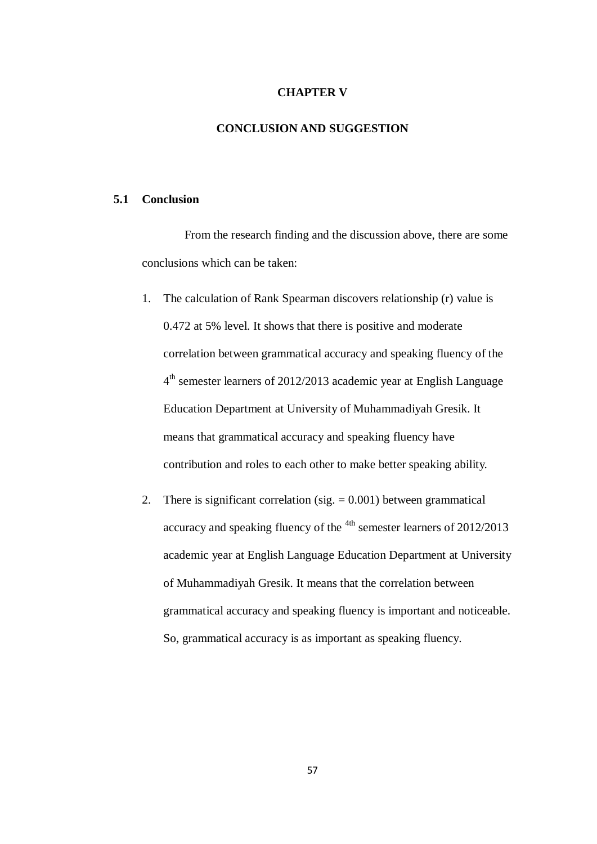## **CHAPTER V**

## **CONCLUSION AND SUGGESTION**

## **5.1 Conclusion**

From the research finding and the discussion above, there are some conclusions which can be taken:

- 1. The calculation of Rank Spearman discovers relationship (r) value is 0.472 at 5% level. It shows that there is positive and moderate correlation between grammatical accuracy and speaking fluency of the 4<sup>th</sup> semester learners of 2012/2013 academic year at English Language Education Department at University of Muhammadiyah Gresik. It means that grammatical accuracy and speaking fluency have contribution and roles to each other to make better speaking ability.
- 2. There is significant correlation (sig.  $= 0.001$ ) between grammatical accuracy and speaking fluency of the <sup>4th</sup> semester learners of 2012/2013 academic year at English Language Education Department at University of Muhammadiyah Gresik. It means that the correlation between grammatical accuracy and speaking fluency is important and noticeable. So, grammatical accuracy is as important as speaking fluency.